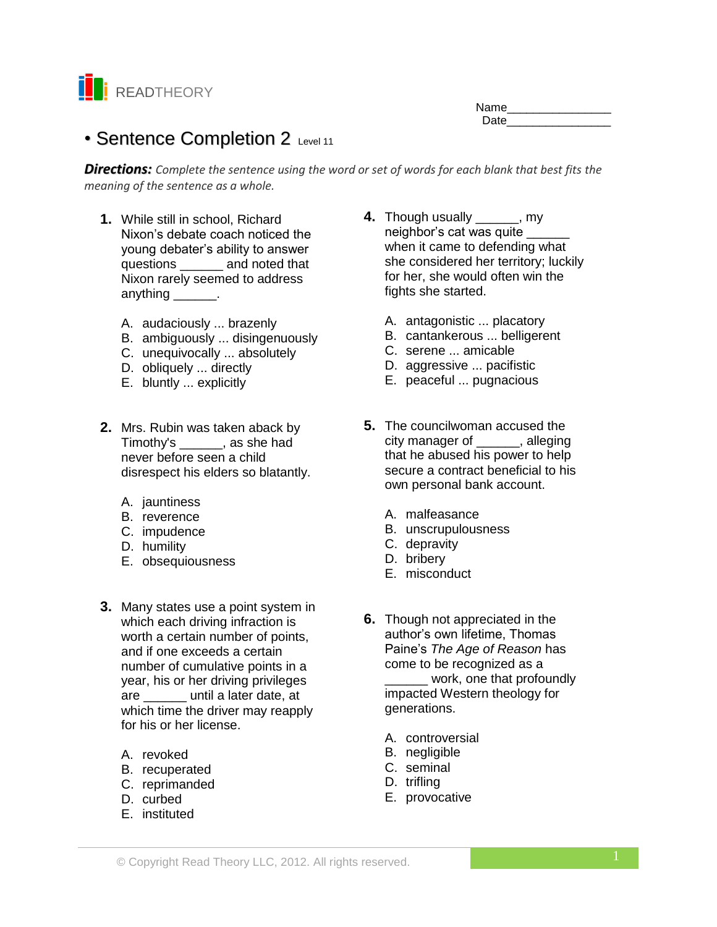

| Name |  |
|------|--|
| Date |  |
|      |  |

# • Sentence Completion 2 Level 11

*Directions: Complete the sentence using the word or set of words for each blank that best fits the meaning of the sentence as a whole.*

- **1.** While still in school, Richard Nixon's debate coach noticed the young debater's ability to answer questions **and noted that** Nixon rarely seemed to address anything \_\_\_\_\_\_\_.
	- A. audaciously ... brazenly
	- B. ambiguously ... disingenuously
	- C. unequivocally ... absolutely
	- D. obliquely ... directly
	- E. bluntly ... explicitly
- **2.** Mrs. Rubin was taken aback by Timothy's \_\_\_\_\_\_, as she had never before seen a child disrespect his elders so blatantly.
	- A. jauntiness
	- B. reverence
	- C. impudence
	- D. humility
	- E. obsequiousness
- **3.** Many states use a point system in which each driving infraction is worth a certain number of points, and if one exceeds a certain number of cumulative points in a year, his or her driving privileges are \_\_\_\_\_\_ until a later date, at which time the driver may reapply for his or her license.
	- A. revoked
	- B. recuperated
	- C. reprimanded
	- D. curbed
	- E. instituted
- **4.** Though usually \_\_\_\_\_\_, my neighbor's cat was quite when it came to defending what she considered her territory; luckily for her, she would often win the fights she started.
	- A. antagonistic ... placatory
	- B. cantankerous ... belligerent
	- C. serene ... amicable
	- D. aggressive ... pacifistic
	- E. peaceful ... pugnacious
- **5.** The councilwoman accused the city manager of \_\_\_\_\_\_, alleging that he abused his power to help secure a contract beneficial to his own personal bank account.
	- A. malfeasance
	- B. unscrupulousness
	- C. depravity
	- D. bribery
	- E. misconduct
- **6.** Though not appreciated in the author's own lifetime, Thomas Paine's *The Age of Reason* has come to be recognized as a work, one that profoundly impacted Western theology for generations.
	- A. controversial
	- B. negligible
	- C. seminal
	- D. trifling
	- E. provocative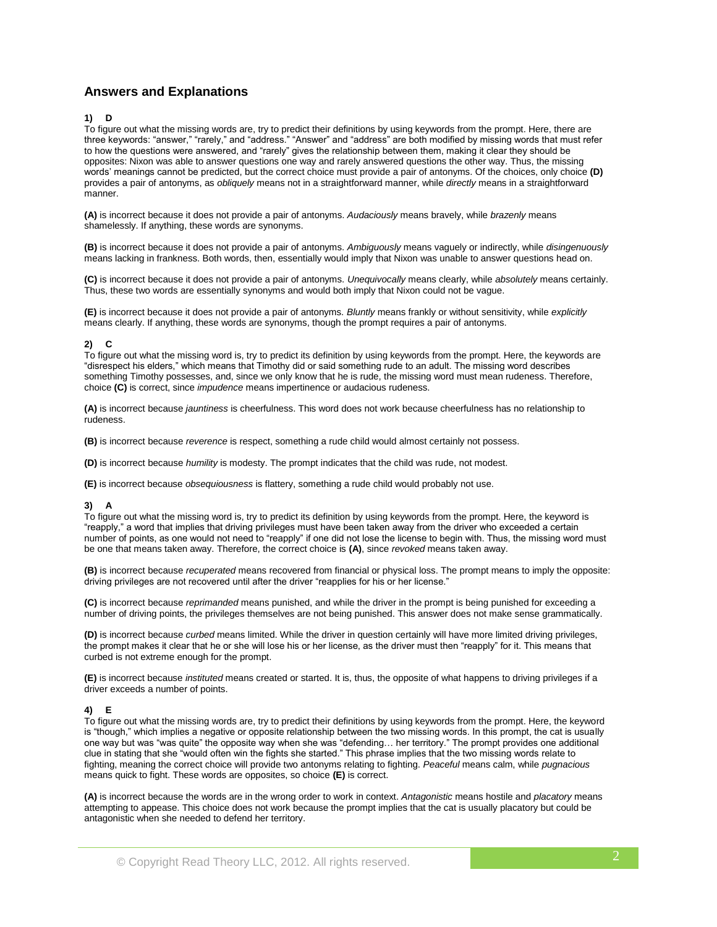# **Answers and Explanations**

## **1) D**

To figure out what the missing words are, try to predict their definitions by using keywords from the prompt. Here, there are three keywords: "answer," "rarely," and "address." "Answer" and "address" are both modified by missing words that must refer to how the questions were answered, and "rarely" gives the relationship between them, making it clear they should be opposites: Nixon was able to answer questions one way and rarely answered questions the other way. Thus, the missing words' meanings cannot be predicted, but the correct choice must provide a pair of antonyms. Of the choices, only choice **(D)** provides a pair of antonyms, as *obliquely* means not in a straightforward manner, while *directly* means in a straightforward manner.

**(A)** is incorrect because it does not provide a pair of antonyms. *Audaciously* means bravely, while *brazenly* means shamelessly. If anything, these words are synonyms.

**(B)** is incorrect because it does not provide a pair of antonyms. *Ambiguously* means vaguely or indirectly, while *disingenuously* means lacking in frankness. Both words, then, essentially would imply that Nixon was unable to answer questions head on.

**(C)** is incorrect because it does not provide a pair of antonyms. *Unequivocally* means clearly, while *absolutely* means certainly. Thus, these two words are essentially synonyms and would both imply that Nixon could not be vague.

**(E)** is incorrect because it does not provide a pair of antonyms. *Bluntly* means frankly or without sensitivity, while *explicitly* means clearly. If anything, these words are synonyms, though the prompt requires a pair of antonyms.

#### **2) C**

To figure out what the missing word is, try to predict its definition by using keywords from the prompt. Here, the keywords are "disrespect his elders," which means that Timothy did or said something rude to an adult. The missing word describes something Timothy possesses, and, since we only know that he is rude, the missing word must mean rudeness. Therefore, choice **(C)** is correct, since *impudence* means impertinence or audacious rudeness.

**(A)** is incorrect because *jauntiness* is cheerfulness. This word does not work because cheerfulness has no relationship to rudeness.

**(B)** is incorrect because *reverence* is respect, something a rude child would almost certainly not possess.

**(D)** is incorrect because *humility* is modesty. The prompt indicates that the child was rude, not modest.

**(E)** is incorrect because *obsequiousness* is flattery, something a rude child would probably not use.

# **3) A**

To figure out what the missing word is, try to predict its definition by using keywords from the prompt. Here, the keyword is "reapply," a word that implies that driving privileges must have been taken away from the driver who exceeded a certain number of points, as one would not need to "reapply" if one did not lose the license to begin with. Thus, the missing word must be one that means taken away. Therefore, the correct choice is **(A)**, since *revoked* means taken away.

**(B)** is incorrect because *recuperated* means recovered from financial or physical loss. The prompt means to imply the opposite: driving privileges are not recovered until after the driver "reapplies for his or her license."

**(C)** is incorrect because *reprimanded* means punished, and while the driver in the prompt is being punished for exceeding a number of driving points, the privileges themselves are not being punished. This answer does not make sense grammatically.

**(D)** is incorrect because *curbed* means limited. While the driver in question certainly will have more limited driving privileges, the prompt makes it clear that he or she will lose his or her license, as the driver must then "reapply" for it. This means that curbed is not extreme enough for the prompt.

**(E)** is incorrect because *instituted* means created or started. It is, thus, the opposite of what happens to driving privileges if a driver exceeds a number of points.

#### **4) E**

To figure out what the missing words are, try to predict their definitions by using keywords from the prompt. Here, the keyword is "though," which implies a negative or opposite relationship between the two missing words. In this prompt, the cat is usually one way but was "was quite" the opposite way when she was "defending… her territory." The prompt provides one additional clue in stating that she "would often win the fights she started." This phrase implies that the two missing words relate to fighting, meaning the correct choice will provide two antonyms relating to fighting. *Peaceful* means calm, while *pugnacious* means quick to fight. These words are opposites, so choice **(E)** is correct.

**(A)** is incorrect because the words are in the wrong order to work in context. *Antagonistic* means hostile and *placatory* means attempting to appease. This choice does not work because the prompt implies that the cat is usually placatory but could be antagonistic when she needed to defend her territory.